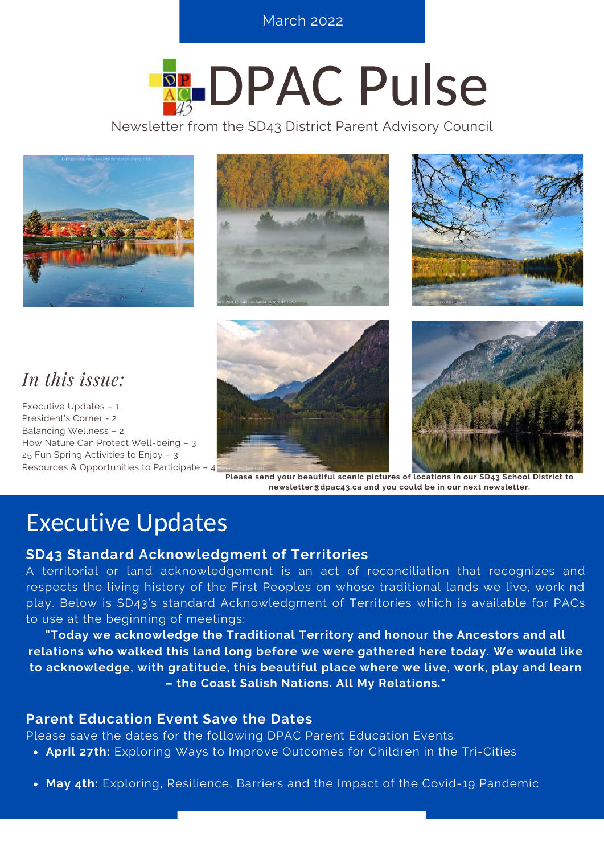**SEPTEPE BERRICH 2022, ISSUE BERRICH 2022** 

# **REDPAC Pulse**

Newsletter from the SD43 District Parent Advisory Council







### *In this issue:*

Executive Updates – 1 President's Corner - 2 Balancing Wellness – 2 How Nature Can Protect Well-being – 3 25 Fun Spring Activities to Enjoy – 3 Resources & Opportunities to Participate – 4





**Please send your beautiful scenic pictures of locations in our SD43 School District to newsletter@dpac43.ca and you could be in our next newsletter.**

### Executive Updates

### **SD43 Standard Acknowledgment of Territories**

A territorial or land acknowledgement is an act of reconciliation that recognizes and respects the living history of the First Peoples on whose traditional lands we live, work nd play. Below is SD43's standard Acknowledgment of Territories which is available for PACs to use at the beginning of meetings:

**"Today we acknowledge the Traditional Territory and honour the Ancestors and all relations who walked this land long before we were gathered here today. We would like to acknowledge, with gratitude, this beautiful place where we live, work, play and learn – the Coast Salish Nations. All My Relations."**

### **Parent Education Event Save the Dates**

Please save the dates for the following DPAC Parent Education Events:

- **April 27th:** Exploring Ways to Improve Outcomes for Children in the Tri-Cities
- **May 4th:** Exploring, Resilience, Barriers and the Impact of the Covid-19 Pandemic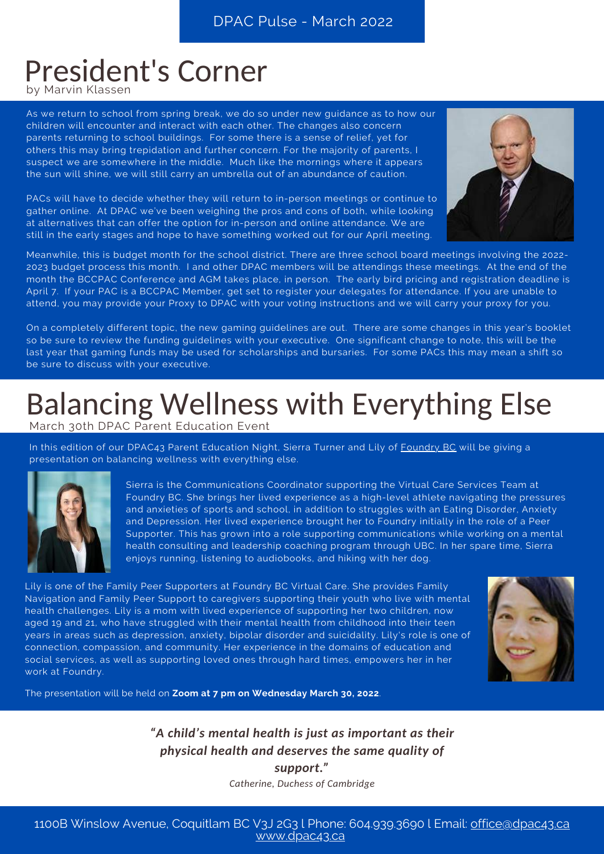## President's Corner

by Marvin Klassen

As we return to school from spring break, we do so under new guidance as to how our children will encounter and interact with each other. The changes also concern parents returning to school buildings. For some there is a sense of relief, yet for others this may bring trepidation and further concern. For the majority of parents, I suspect we are somewhere in the middle. Much like the mornings where it appears the sun will shine, we will still carry an umbrella out of an abundance of caution.

PACs will have to decide whether they will return to in-person meetings or continue to gather online. At DPAC we've been weighing the pros and cons of both, while looking at alternatives that can offer the option for in-person and online attendance. We are still in the early stages and hope to have something worked out for our April meeting.



Meanwhile, this is budget month for the school district. There are three school board meetings involving the 2022- 2023 budget process this month. I and other DPAC members will be attendings these meetings. At the end of the month the BCCPAC Conference and AGM takes place, in person. The early bird pricing and registration deadline is April 7. If your PAC is a BCCPAC Member, get set to register your delegates for attendance. If you are unable to attend, you may provide your Proxy to DPAC with your voting instructions and we will carry your proxy for you.

On a completely different topic, the new gaming guidelines are out. There are some changes in this year's booklet so be sure to review the funding guidelines with your executive. One significant change to note, this will be the last year that gaming funds may be used for scholarships and bursaries. For some PACs this may mean a shift so be sure to discuss with your executive.

### Balancing Wellness with Everything Else March 30th DPAC Parent Education Event

In this edition of our DPAC43 Parent Education Night, Sierra Turner and Lily of [Foundry](https://foundrybc.ca/) BC will be giving a presentation on balancing wellness with everything else.



Sierra is the Communications Coordinator supporting the Virtual Care Services Team at Foundry BC. She brings her lived experience as a high-level athlete navigating the pressures and anxieties of sports and school, in addition to struggles with an Eating Disorder, Anxiety and Depression. Her lived experience brought her to Foundry initially in the role of a Peer Supporter. This has grown into a role supporting communications while working on a mental health consulting and leadership coaching program through UBC. In her spare time, Sierra enjoys running, listening to audiobooks, and hiking with her dog.

Lily is one of the Family Peer Supporters at Foundry BC Virtual Care. She provides Family Navigation and Family Peer Support to caregivers supporting their youth who live with mental health challenges. Lily is a mom with lived experience of supporting her two children, now aged 19 and 21, who have struggled with their mental health from childhood into their teen years in areas such as depression, anxiety, bipolar disorder and suicidality. Lily's role is one of connection, compassion, and community. Her experience in the domains of education and social services, as well as supporting loved ones through hard times, empowers her in her work at Foundry.



The presentation will be held on **Zoom at 7 pm on Wednesday March 30, 2022**.

*"A child's mental health is just as important as their physical health and deserves the same quality of support." Catherine, Duchess of Cambridge*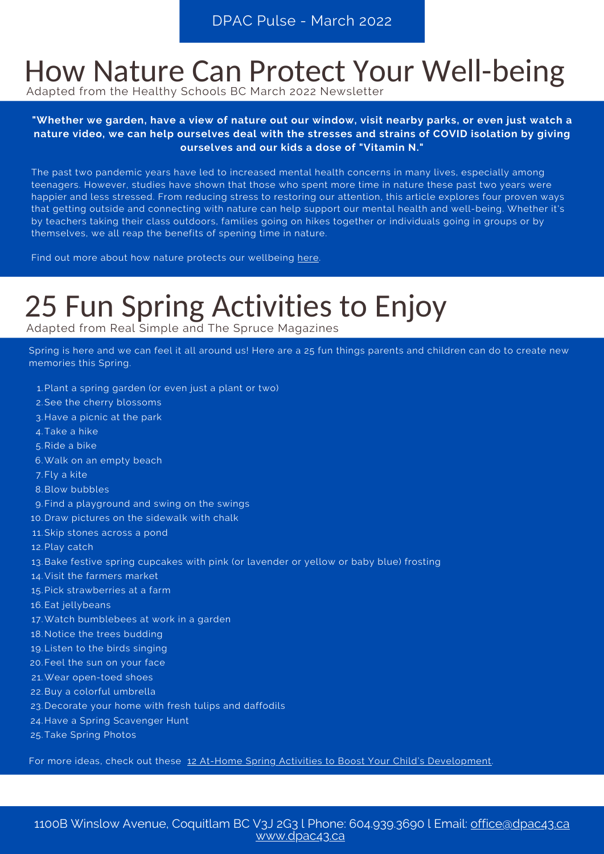### How Nature Can Protect Your Well-being

Adapted from the Healthy Schools BC March 2022 Newsletter

"Whether we garden, have a view of nature out our window, visit nearby parks, or even just watch a **nature video, we can help ourselves deal with the stresses and strains of COVID isolation by giving ourselves and our kids a dose of "Vitamin N."**

The past two pandemic years have led to increased mental health concerns in many lives, especially among teenagers. However, studies have shown that those who spent more time in nature these past two years were happier and less stressed. From reducing stress to restoring our attention, this article explores four proven ways that getting outside and connecting with nature can help support our mental health and well-being. Whether it's by teachers taking their class outdoors, families going on hikes together or individuals going in groups or by themselves, we all reap the benefits of spening time in nature.

Find out more about how nature protects our wellbeing [here.](https://greatergood.berkeley.edu/article/item/four_ways_nature_can_protect_your_wellbeing_during_a_pandemic#.YemWbXAsc6w.twitter)

# 25 Fun Spring Activities to Enjoy

Adapted from Real Simple and The Spruce Magazines

Spring is here and we can feel it all around us! Here are a 25 fun things parents and children can do to create new memories this Spring.

- Plant a spring garden (or even just a plant or two) 1.
- 2. See the cherry blossoms
- 3. Have a picnic at the park
- Take a hike 4.
- 5.Ride a bike
- Walk on an empty beach 6.
- 7. Fly a kite
- Blow bubbles 8.
- Find a playground and swing on the swings 9.
- 10. Draw pictures on the sidewalk with chalk
- 11. Skip stones across a pond
- 12. Play catch
- 13.Bake festive spring cupcakes with pink (or lavender or yellow or baby blue) frosting
- Visit the farmers market 14.
- 15. Pick strawberries at a farm
- 16. Eat jellybeans
- Watch bumblebees at work in a garden 17.
- 18. Notice the trees budding
- 19. Listen to the birds singing
- 20. Feel the sun on your face
- Wear open-toed shoes 21.
- 22. Buy a colorful umbrella
- 23. Decorate your home with fresh tulips and daffodils
- 24. Have a Spring Scavenger Hunt
- 25. Take Spring Photos

For more ideas, check out these 12 At-Home Spring Activities to Boost Your Child's [Development.](https://blog.brookespublishing.com/12-at-home-spring-activities-to-boost-your-childs-development/)